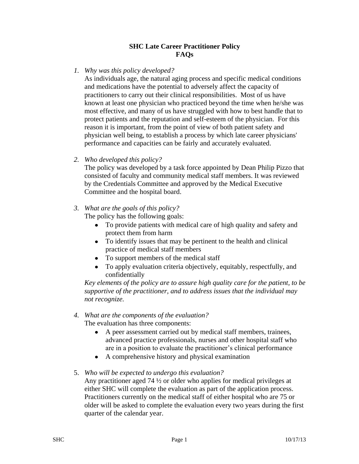## **SHC Late Career Practitioner Policy FAQs**

*1. Why was this policy developed?* 

As individuals age, the natural aging process and specific medical conditions and medications have the potential to adversely affect the capacity of practitioners to carry out their clinical responsibilities. Most of us have known at least one physician who practiced beyond the time when he/she was most effective, and many of us have struggled with how to best handle that to protect patients and the reputation and self-esteem of the physician. For this reason it is important, from the point of view of both patient safety and physician well being, to establish a process by which late career physicians' performance and capacities can be fairly and accurately evaluated.

*2. Who developed this policy?*

The policy was developed by a task force appointed by Dean Philip Pizzo that consisted of faculty and community medical staff members. It was reviewed by the Credentials Committee and approved by the Medical Executive Committee and the hospital board.

*3. What are the goals of this policy?*

The policy has the following goals:

- To provide patients with medical care of high quality and safety and protect them from harm
- To identify issues that may be pertinent to the health and clinical practice of medical staff members
- To support members of the medical staff
- To apply evaluation criteria objectively, equitably, respectfully, and confidentially

*Key elements of the policy are to assure high quality care for the patient, to be supportive of the practitioner, and to address issues that the individual may not recognize.*

- *4. What are the components of the evaluation?* The evaluation has three components:
	- A peer assessment carried out by medical staff members, trainees,  $\bullet$ advanced practice professionals, nurses and other hospital staff who are in a position to evaluate the practitioner's clinical performance
	- A comprehensive history and physical examination
- 5. *Who will be expected to undergo this evaluation?*

Any practitioner aged 74 ½ or older who applies for medical privileges at either SHC will complete the evaluation as part of the application process. Practitioners currently on the medical staff of either hospital who are 75 or older will be asked to complete the evaluation every two years during the first quarter of the calendar year.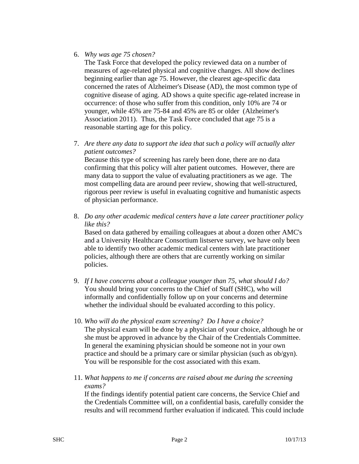## 6. *Why was age 75 chosen?*

The Task Force that developed the policy reviewed data on a number of measures of age-related physical and cognitive changes. All show declines beginning earlier than age 75. However, the clearest age-specific data concerned the rates of Alzheimer's Disease (AD), the most common type of cognitive disease of aging. AD shows a quite specific age-related increase in occurrence: of those who suffer from this condition, only 10% are 74 or younger, while 45% are 75-84 and 45% are 85 or older (Alzheimer's Association 2011). Thus, the Task Force concluded that age 75 is a reasonable starting age for this policy.

7. *Are there any data to support the idea that such a policy will actually alter patient outcomes?*

Because this type of screening has rarely been done, there are no data confirming that this policy will alter patient outcomes. However, there are many data to support the value of evaluating practitioners as we age. The most compelling data are around peer review, showing that well-structured, rigorous peer review is useful in evaluating cognitive and humanistic aspects of physician performance.

8. *Do any other academic medical centers have a late career practitioner policy like this?*

Based on data gathered by emailing colleagues at about a dozen other AMC's and a University Healthcare Consortium listserve survey, we have only been able to identify two other academic medical centers with late practitioner policies, although there are others that are currently working on similar policies.

- 9. *If I have concerns about a colleague younger than 75, what should I do?* You should bring your concerns to the Chief of Staff (SHC), who will informally and confidentially follow up on your concerns and determine whether the individual should be evaluated according to this policy.
- 10. *Who will do the physical exam screening? Do I have a choice?* The physical exam will be done by a physician of your choice, although he or she must be approved in advance by the Chair of the Credentials Committee. In general the examining physician should be someone not in your own practice and should be a primary care or similar physician (such as ob/gyn). You will be responsible for the cost associated with this exam.
- 11. *What happens to me if concerns are raised about me during the screening exams?*

If the findings identify potential patient care concerns, the Service Chief and the Credentials Committee will, on a confidential basis, carefully consider the results and will recommend further evaluation if indicated. This could include